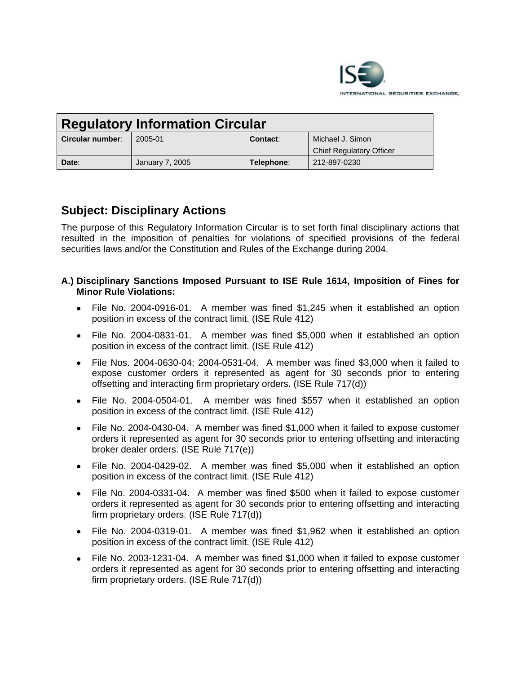

| <b>Regulatory Information Circular</b> |                 |            |                                 |
|----------------------------------------|-----------------|------------|---------------------------------|
| Circular number:                       | 2005-01         | Contact:   | Michael J. Simon                |
|                                        |                 |            | <b>Chief Regulatory Officer</b> |
| Date:                                  | January 7, 2005 | Telephone: | 212-897-0230                    |

# **Subject: Disciplinary Actions**

The purpose of this Regulatory Information Circular is to set forth final disciplinary actions that resulted in the imposition of penalties for violations of specified provisions of the federal securities laws and/or the Constitution and Rules of the Exchange during 2004.

### **A.) Disciplinary Sanctions Imposed Pursuant to ISE Rule 1614, Imposition of Fines for Minor Rule Violations:**

- File No. 2004-0916-01. A member was fined \$1,245 when it established an option position in excess of the contract limit. (ISE Rule 412)
- File No. 2004-0831-01. A member was fined \$5,000 when it established an option position in excess of the contract limit. (ISE Rule 412)
- File Nos. 2004-0630-04; 2004-0531-04. A member was fined \$3,000 when it failed to expose customer orders it represented as agent for 30 seconds prior to entering offsetting and interacting firm proprietary orders. (ISE Rule 717(d))
- File No. 2004-0504-01. A member was fined \$557 when it established an option position in excess of the contract limit. (ISE Rule 412)
- File No. 2004-0430-04. A member was fined \$1,000 when it failed to expose customer orders it represented as agent for 30 seconds prior to entering offsetting and interacting broker dealer orders. (ISE Rule 717(e))
- File No. 2004-0429-02. A member was fined \$5,000 when it established an option position in excess of the contract limit. (ISE Rule 412)
- File No. 2004-0331-04. A member was fined \$500 when it failed to expose customer orders it represented as agent for 30 seconds prior to entering offsetting and interacting firm proprietary orders. (ISE Rule 717(d))
- File No. 2004-0319-01. A member was fined \$1,962 when it established an option position in excess of the contract limit. (ISE Rule 412)
- File No. 2003-1231-04. A member was fined \$1,000 when it failed to expose customer orders it represented as agent for 30 seconds prior to entering offsetting and interacting firm proprietary orders. (ISE Rule 717(d))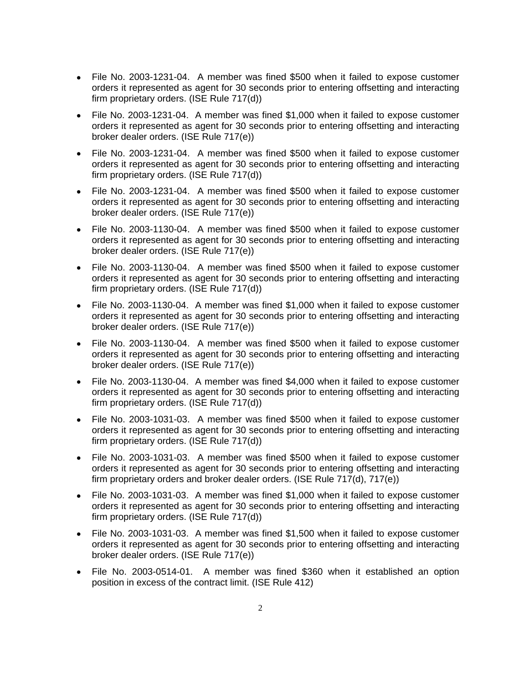- File No. 2003-1231-04. A member was fined \$500 when it failed to expose customer orders it represented as agent for 30 seconds prior to entering offsetting and interacting firm proprietary orders. (ISE Rule 717(d))
- File No. 2003-1231-04. A member was fined \$1,000 when it failed to expose customer orders it represented as agent for 30 seconds prior to entering offsetting and interacting broker dealer orders. (ISE Rule 717(e))
- File No. 2003-1231-04. A member was fined \$500 when it failed to expose customer orders it represented as agent for 30 seconds prior to entering offsetting and interacting firm proprietary orders. (ISE Rule 717(d))
- File No. 2003-1231-04. A member was fined \$500 when it failed to expose customer orders it represented as agent for 30 seconds prior to entering offsetting and interacting broker dealer orders. (ISE Rule 717(e))
- File No. 2003-1130-04. A member was fined \$500 when it failed to expose customer orders it represented as agent for 30 seconds prior to entering offsetting and interacting broker dealer orders. (ISE Rule 717(e))
- File No. 2003-1130-04. A member was fined \$500 when it failed to expose customer orders it represented as agent for 30 seconds prior to entering offsetting and interacting firm proprietary orders. (ISE Rule 717(d))
- File No. 2003-1130-04. A member was fined \$1,000 when it failed to expose customer orders it represented as agent for 30 seconds prior to entering offsetting and interacting broker dealer orders. (ISE Rule 717(e))
- File No. 2003-1130-04. A member was fined \$500 when it failed to expose customer orders it represented as agent for 30 seconds prior to entering offsetting and interacting broker dealer orders. (ISE Rule 717(e))
- File No. 2003-1130-04. A member was fined \$4,000 when it failed to expose customer orders it represented as agent for 30 seconds prior to entering offsetting and interacting firm proprietary orders. (ISE Rule 717(d))
- File No. 2003-1031-03. A member was fined \$500 when it failed to expose customer orders it represented as agent for 30 seconds prior to entering offsetting and interacting firm proprietary orders. (ISE Rule 717(d))
- File No. 2003-1031-03. A member was fined \$500 when it failed to expose customer orders it represented as agent for 30 seconds prior to entering offsetting and interacting firm proprietary orders and broker dealer orders. (ISE Rule 717(d), 717(e))
- File No. 2003-1031-03. A member was fined \$1,000 when it failed to expose customer orders it represented as agent for 30 seconds prior to entering offsetting and interacting firm proprietary orders. (ISE Rule 717(d))
- File No. 2003-1031-03. A member was fined \$1,500 when it failed to expose customer orders it represented as agent for 30 seconds prior to entering offsetting and interacting broker dealer orders. (ISE Rule 717(e))
- File No. 2003-0514-01. A member was fined \$360 when it established an option position in excess of the contract limit. (ISE Rule 412)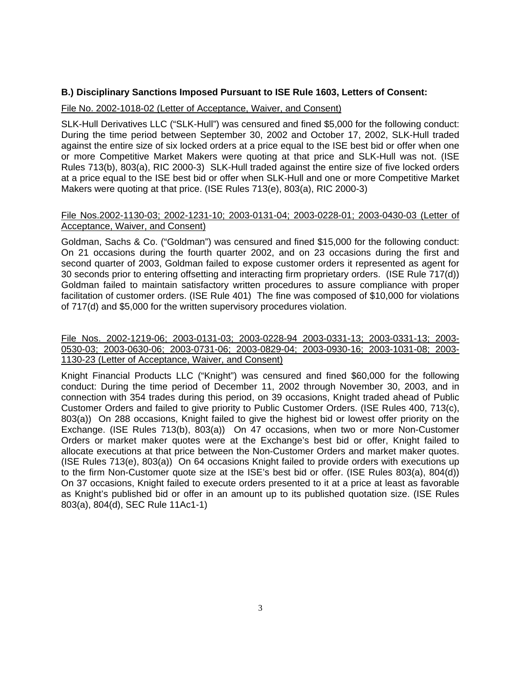### **B.) Disciplinary Sanctions Imposed Pursuant to ISE Rule 1603, Letters of Consent:**

### File No. 2002-1018-02 (Letter of Acceptance, Waiver, and Consent)

SLK-Hull Derivatives LLC ("SLK-Hull") was censured and fined \$5,000 for the following conduct: During the time period between September 30, 2002 and October 17, 2002, SLK-Hull traded against the entire size of six locked orders at a price equal to the ISE best bid or offer when one or more Competitive Market Makers were quoting at that price and SLK-Hull was not. (ISE Rules 713(b), 803(a), RIC 2000-3) SLK-Hull traded against the entire size of five locked orders at a price equal to the ISE best bid or offer when SLK-Hull and one or more Competitive Market Makers were quoting at that price. (ISE Rules 713(e), 803(a), RIC 2000-3)

#### File Nos.2002-1130-03; 2002-1231-10; 2003-0131-04; 2003-0228-01; 2003-0430-03 (Letter of Acceptance, Waiver, and Consent)

Goldman, Sachs & Co. ("Goldman") was censured and fined \$15,000 for the following conduct: On 21 occasions during the fourth quarter 2002, and on 23 occasions during the first and second quarter of 2003, Goldman failed to expose customer orders it represented as agent for 30 seconds prior to entering offsetting and interacting firm proprietary orders. (ISE Rule 717(d)) Goldman failed to maintain satisfactory written procedures to assure compliance with proper facilitation of customer orders. (ISE Rule 401) The fine was composed of \$10,000 for violations of 717(d) and \$5,000 for the written supervisory procedures violation.

## File Nos. 2002-1219-06; 2003-0131-03; 2003-0228-94 2003-0331-13; 2003-0331-13; 2003- 0530-03; 2003-0630-06; 2003-0731-06; 2003-0829-04; 2003-0930-16; 2003-1031-08; 2003- 1130-23 (Letter of Acceptance, Waiver, and Consent)

Knight Financial Products LLC ("Knight") was censured and fined \$60,000 for the following conduct: During the time period of December 11, 2002 through November 30, 2003, and in connection with 354 trades during this period, on 39 occasions, Knight traded ahead of Public Customer Orders and failed to give priority to Public Customer Orders. (ISE Rules 400, 713(c), 803(a)) On 288 occasions, Knight failed to give the highest bid or lowest offer priority on the Exchange. (ISE Rules 713(b), 803(a)) On 47 occasions, when two or more Non-Customer Orders or market maker quotes were at the Exchange's best bid or offer, Knight failed to allocate executions at that price between the Non-Customer Orders and market maker quotes. (ISE Rules 713(e), 803(a)) On 64 occasions Knight failed to provide orders with executions up to the firm Non-Customer quote size at the ISE's best bid or offer. (ISE Rules 803(a), 804(d)) On 37 occasions, Knight failed to execute orders presented to it at a price at least as favorable as Knight's published bid or offer in an amount up to its published quotation size. (ISE Rules 803(a), 804(d), SEC Rule 11Ac1-1)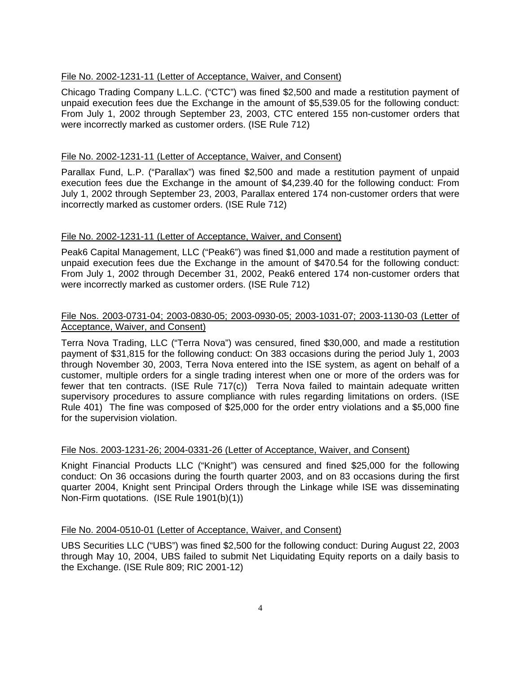# File No. 2002-1231-11 (Letter of Acceptance, Waiver, and Consent)

Chicago Trading Company L.L.C. ("CTC") was fined \$2,500 and made a restitution payment of unpaid execution fees due the Exchange in the amount of \$5,539.05 for the following conduct: From July 1, 2002 through September 23, 2003, CTC entered 155 non-customer orders that were incorrectly marked as customer orders. (ISE Rule 712)

# File No. 2002-1231-11 (Letter of Acceptance, Waiver, and Consent)

Parallax Fund, L.P. ("Parallax") was fined \$2,500 and made a restitution payment of unpaid execution fees due the Exchange in the amount of \$4,239.40 for the following conduct: From July 1, 2002 through September 23, 2003, Parallax entered 174 non-customer orders that were incorrectly marked as customer orders. (ISE Rule 712)

# File No. 2002-1231-11 (Letter of Acceptance, Waiver, and Consent)

Peak6 Capital Management, LLC ("Peak6") was fined \$1,000 and made a restitution payment of unpaid execution fees due the Exchange in the amount of \$470.54 for the following conduct: From July 1, 2002 through December 31, 2002, Peak6 entered 174 non-customer orders that were incorrectly marked as customer orders. (ISE Rule 712)

# File Nos. 2003-0731-04; 2003-0830-05; 2003-0930-05; 2003-1031-07; 2003-1130-03 (Letter of Acceptance, Waiver, and Consent)

Terra Nova Trading, LLC ("Terra Nova") was censured, fined \$30,000, and made a restitution payment of \$31,815 for the following conduct: On 383 occasions during the period July 1, 2003 through November 30, 2003, Terra Nova entered into the ISE system, as agent on behalf of a customer, multiple orders for a single trading interest when one or more of the orders was for fewer that ten contracts. (ISE Rule 717(c)) Terra Nova failed to maintain adequate written supervisory procedures to assure compliance with rules regarding limitations on orders. (ISE Rule 401) The fine was composed of \$25,000 for the order entry violations and a \$5,000 fine for the supervision violation.

#### File Nos. 2003-1231-26; 2004-0331-26 (Letter of Acceptance, Waiver, and Consent)

Knight Financial Products LLC ("Knight") was censured and fined \$25,000 for the following conduct: On 36 occasions during the fourth quarter 2003, and on 83 occasions during the first quarter 2004, Knight sent Principal Orders through the Linkage while ISE was disseminating Non-Firm quotations. (ISE Rule 1901(b)(1))

#### File No. 2004-0510-01 (Letter of Acceptance, Waiver, and Consent)

UBS Securities LLC ("UBS") was fined \$2,500 for the following conduct: During August 22, 2003 through May 10, 2004, UBS failed to submit Net Liquidating Equity reports on a daily basis to the Exchange. (ISE Rule 809; RIC 2001-12)